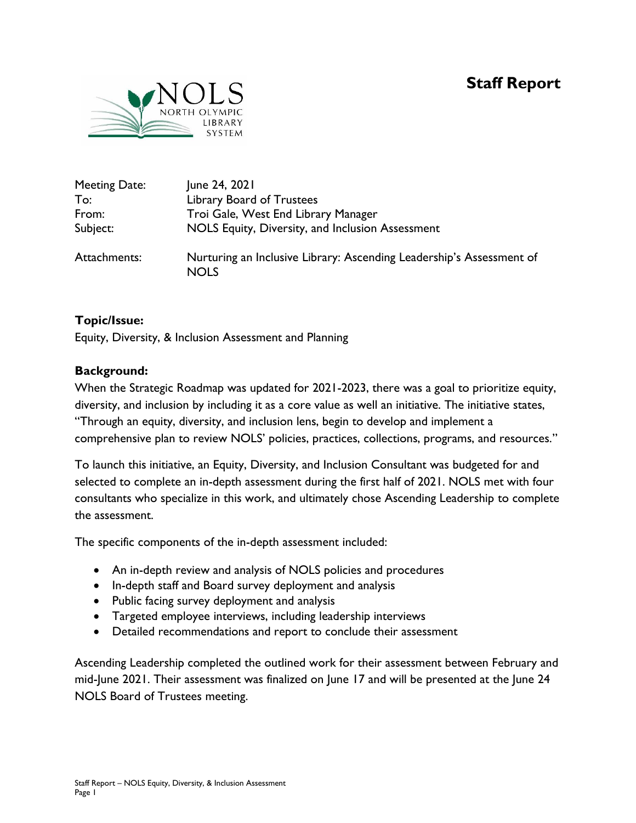# **Staff Report**



| Meeting Date: | June 24, 2021                                                                       |
|---------------|-------------------------------------------------------------------------------------|
| To:           | Library Board of Trustees                                                           |
| From:         | Troi Gale, West End Library Manager                                                 |
| Subject:      | NOLS Equity, Diversity, and Inclusion Assessment                                    |
| Attachments:  | Nurturing an Inclusive Library: Ascending Leadership's Assessment of<br><b>NOLS</b> |

## **Topic/Issue:**

Equity, Diversity, & Inclusion Assessment and Planning

### **Background:**

When the Strategic Roadmap was updated for 2021-2023, there was a goal to prioritize equity, diversity, and inclusion by including it as a core value as well an initiative. The initiative states, "Through an equity, diversity, and inclusion lens, begin to develop and implement a comprehensive plan to review NOLS' policies, practices, collections, programs, and resources."

To launch this initiative, an Equity, Diversity, and Inclusion Consultant was budgeted for and selected to complete an in-depth assessment during the first half of 2021. NOLS met with four consultants who specialize in this work, and ultimately chose Ascending Leadership to complete the assessment.

The specific components of the in-depth assessment included:

- An in-depth review and analysis of NOLS policies and procedures
- In-depth staff and Board survey deployment and analysis
- Public facing survey deployment and analysis
- Targeted employee interviews, including leadership interviews
- Detailed recommendations and report to conclude their assessment

Ascending Leadership completed the outlined work for their assessment between February and mid-June 2021. Their assessment was finalized on June 17 and will be presented at the June 24 NOLS Board of Trustees meeting.